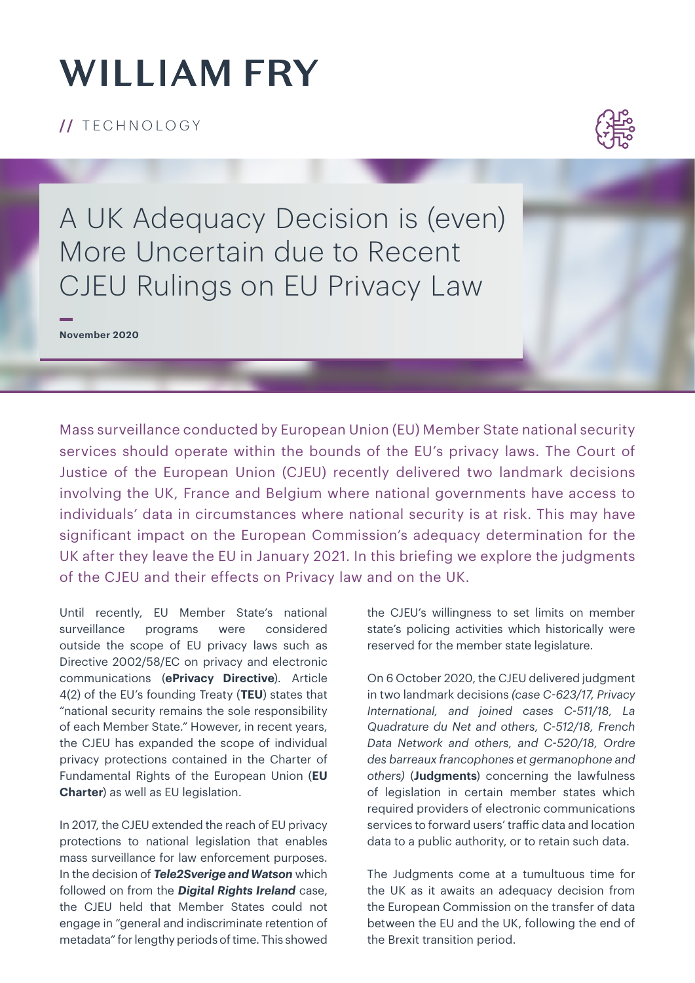# **WILLIAM FRY**

**/ /** TECHNOLOGY



A UK Adequacy Decision is (even) More Uncertain due to Recent CJEU Rulings on EU Privacy Law

**November 2020**

Mass surveillance conducted by European Union (EU) Member State national security services should operate within the bounds of the EU's privacy laws. The Court of Justice of the European Union (CJEU) recently delivered two landmark decisions involving the UK, France and Belgium where national governments have access to individuals' data in circumstances where national security is at risk. This may have significant impact on the European Commission's adequacy determination for the UK after they leave the EU in January 2021. In this briefing we explore the judgments of the CJEU and their effects on Privacy law and on the UK.

Until recently, EU Member State's national surveillance programs were considered outside the scope of EU privacy laws such as Directive 2002/58/EC on privacy and electronic communications (**ePrivacy Directive**). Article 4(2) of the EU's founding Treaty (**TEU**) states that "national security remains the sole responsibility of each Member State." However, in recent years, the CJEU has expanded the scope of individual privacy protections contained in the Charter of Fundamental Rights of the European Union (**EU Charter**) as well as EU legislation.

In 2017, the CJEU extended the reach of EU privacy protections to national legislation that enables mass surveillance for law enforcement purposes. In the decision of *Tele2Sverige and Watson* which followed on from the *Digital Rights Ireland* case, the CJEU held that Member States could not engage in "general and indiscriminate retention of metadata" for lengthy periods of time. This showed the CJEU's willingness to set limits on member state's policing activities which historically were reserved for the member state legislature.

On 6 October 2020, the CJEU delivered judgment in two landmark decisions *(case C-623/17, Privacy International, and joined cases C-511/18, La Quadrature du Net and others, C-512/18, French Data Network and others, and C-520/18, Ordre des barreaux francophones et germanophone and others)* (**Judgments**) concerning the lawfulness of legislation in certain member states which required providers of electronic communications services to forward users' traffic data and location data to a public authority, or to retain such data.

The Judgments come at a tumultuous time for the UK as it awaits an adequacy decision from the European Commission on the transfer of data between the EU and the UK, following the end of the Brexit transition period.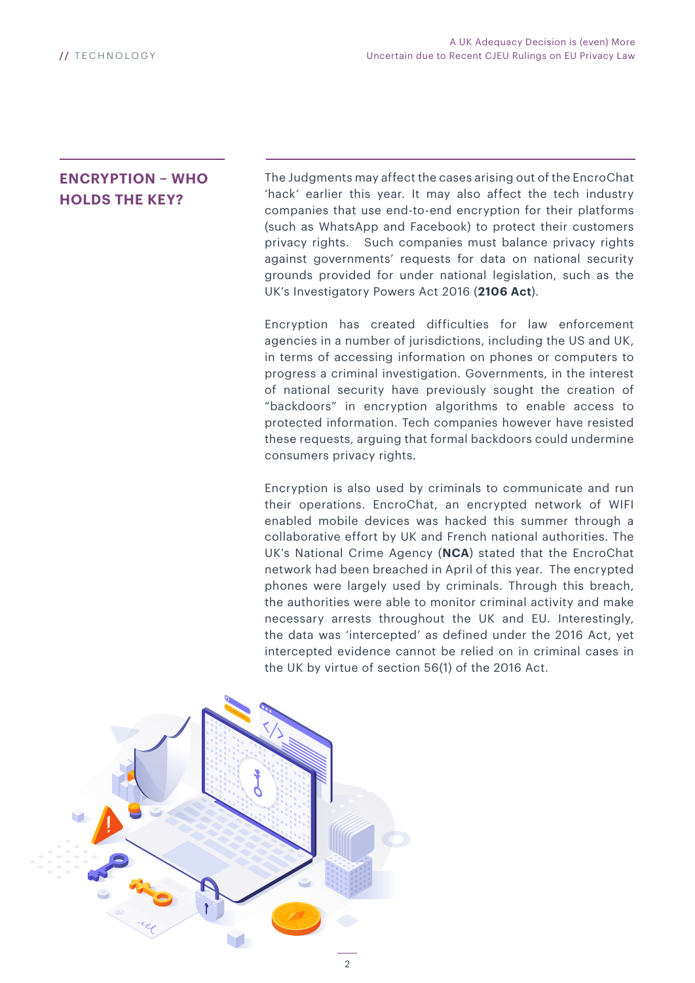#### **ENCRYPTION – WHO HOLDS THE KEY?**

The Judgments may affect the cases arising out of the EncroChat 'hack' earlier this year. It may also affect the tech industry companies that use end-to-end encryption for their platforms (such as WhatsApp and Facebook) to protect their customers privacy rights. Such companies must balance privacy rights against governments' requests for data on national security grounds provided for under national legislation, such as the UK's Investigatory Powers Act 2016 (**2106 Act**).

Encryption has created difficulties for law enforcement agencies in a number of jurisdictions, including the US and UK, in terms of accessing information on phones or computers to progress a criminal investigation. Governments, in the interest of national security have previously sought the creation of "backdoors" in encryption algorithms to enable access to protected information. Tech companies however have resisted these requests, arguing that formal backdoors could undermine consumers privacy rights.

Encryption is also used by criminals to communicate and run their operations. EncroChat, an encrypted network of WIFI enabled mobile devices was hacked this summer through a collaborative effort by UK and French national authorities. The UK's National Crime Agency (**NCA**) stated that the EncroChat network had been breached in April of this year. The encrypted phones were largely used by criminals. Through this breach, the authorities were able to monitor criminal activity and make necessary arrests throughout the UK and EU. Interestingly, the data was 'intercepted' as defined under the 2016 Act, yet intercepted evidence cannot be relied on in criminal cases in the UK by virtue of section 56(1) of the 2016 Act.

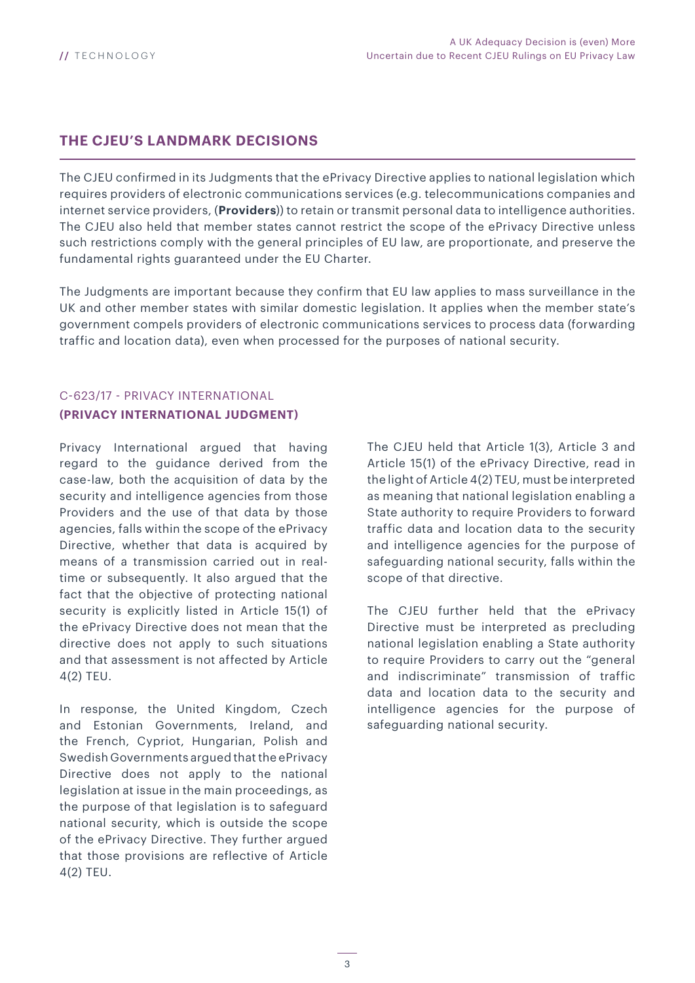#### **THE CJEU'S LANDMARK DECISIONS**

The CJEU confirmed in its Judgments that the ePrivacy Directive applies to national legislation which requires providers of electronic communications services (e.g. telecommunications companies and internet service providers, (**Providers**)) to retain or transmit personal data to intelligence authorities. The CJEU also held that member states cannot restrict the scope of the ePrivacy Directive unless such restrictions comply with the general principles of EU law, are proportionate, and preserve the fundamental rights guaranteed under the EU Charter.

The Judgments are important because they confirm that EU law applies to mass surveillance in the UK and other member states with similar domestic legislation. It applies when the member state's government compels providers of electronic communications services to process data (forwarding traffic and location data), even when processed for the purposes of national security.

#### C-623/17 - PRIVACY INTERNATIONAL **(PRIVACY INTERNATIONAL JUDGMENT)**

Privacy International argued that having regard to the guidance derived from the case-law, both the acquisition of data by the security and intelligence agencies from those Providers and the use of that data by those agencies, falls within the scope of the ePrivacy Directive, whether that data is acquired by means of a transmission carried out in realtime or subsequently. It also argued that the fact that the objective of protecting national security is explicitly listed in Article 15(1) of the ePrivacy Directive does not mean that the directive does not apply to such situations and that assessment is not affected by Article 4(2) TEU.

In response, the United Kingdom, Czech and Estonian Governments, Ireland, and the French, Cypriot, Hungarian, Polish and Swedish Governments argued that the ePrivacy Directive does not apply to the national legislation at issue in the main proceedings, as the purpose of that legislation is to safeguard national security, which is outside the scope of the ePrivacy Directive. They further argued that those provisions are reflective of Article 4(2) TEU.

The CJEU held that Article 1(3), Article 3 and Article 15(1) of the ePrivacy Directive, read in the light of Article 4(2) TEU, must be interpreted as meaning that national legislation enabling a State authority to require Providers to forward traffic data and location data to the security and intelligence agencies for the purpose of safeguarding national security, falls within the scope of that directive.

The CJEU further held that the ePrivacy Directive must be interpreted as precluding national legislation enabling a State authority to require Providers to carry out the "general and indiscriminate" transmission of traffic data and location data to the security and intelligence agencies for the purpose of safeguarding national security.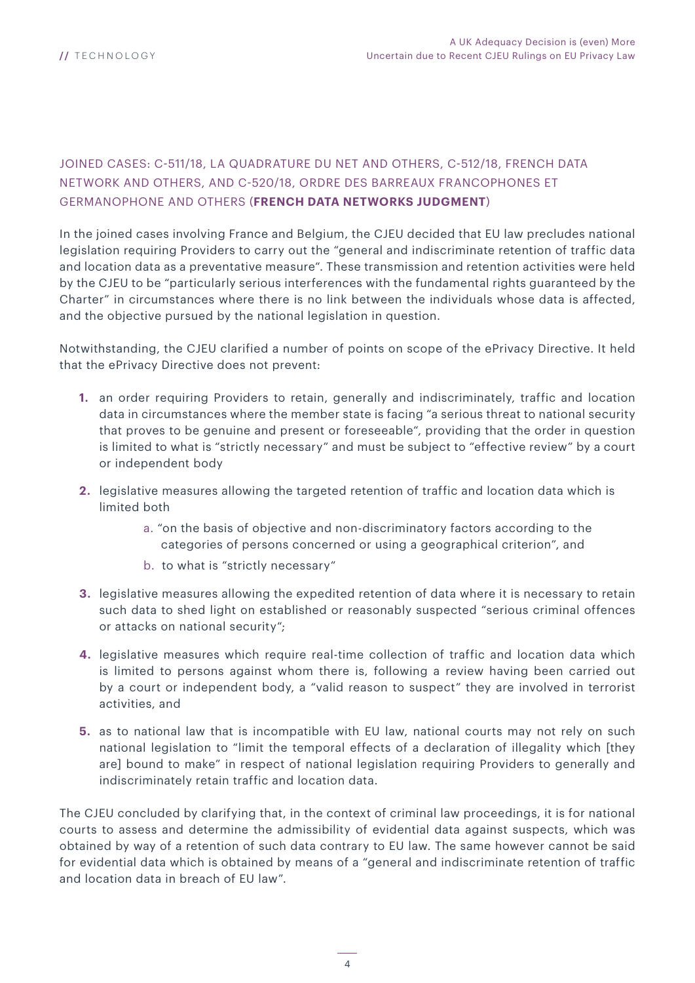#### JOINED CASES: C-511/18, LA QUADRATURE DU NET AND OTHERS, C-512/18, FRENCH DATA NETWORK AND OTHERS, AND C-520/18, ORDRE DES BARREAUX FRANCOPHONES ET GERMANOPHONE AND OTHERS (**FRENCH DATA NETWORKS JUDGMENT**)

In the joined cases involving France and Belgium, the CJEU decided that EU law precludes national legislation requiring Providers to carry out the "general and indiscriminate retention of traffic data and location data as a preventative measure". These transmission and retention activities were held by the CJEU to be "particularly serious interferences with the fundamental rights guaranteed by the Charter" in circumstances where there is no link between the individuals whose data is affected, and the objective pursued by the national legislation in question.

Notwithstanding, the CJEU clarified a number of points on scope of the ePrivacy Directive. It held that the ePrivacy Directive does not prevent:

- **1.** an order requiring Providers to retain, generally and indiscriminately, traffic and location data in circumstances where the member state is facing "a serious threat to national security that proves to be genuine and present or foreseeable", providing that the order in question is limited to what is "strictly necessary" and must be subject to "effective review" by a court or independent body
- **2.** legislative measures allowing the targeted retention of traffic and location data which is limited both
	- a. "on the basis of objective and non-discriminatory factors according to the categories of persons concerned or using a geographical criterion", and
	- b. to what is "strictly necessary"
- **3.** legislative measures allowing the expedited retention of data where it is necessary to retain such data to shed light on established or reasonably suspected "serious criminal offences or attacks on national security";
- **4.** legislative measures which require real-time collection of traffic and location data which is limited to persons against whom there is, following a review having been carried out by a court or independent body, a "valid reason to suspect" they are involved in terrorist activities, and
- **5.** as to national law that is incompatible with EU law, national courts may not rely on such national legislation to "limit the temporal effects of a declaration of illegality which [they are] bound to make" in respect of national legislation requiring Providers to generally and indiscriminately retain traffic and location data.

The CJEU concluded by clarifying that, in the context of criminal law proceedings, it is for national courts to assess and determine the admissibility of evidential data against suspects, which was obtained by way of a retention of such data contrary to EU law. The same however cannot be said for evidential data which is obtained by means of a "general and indiscriminate retention of traffic and location data in breach of EU law".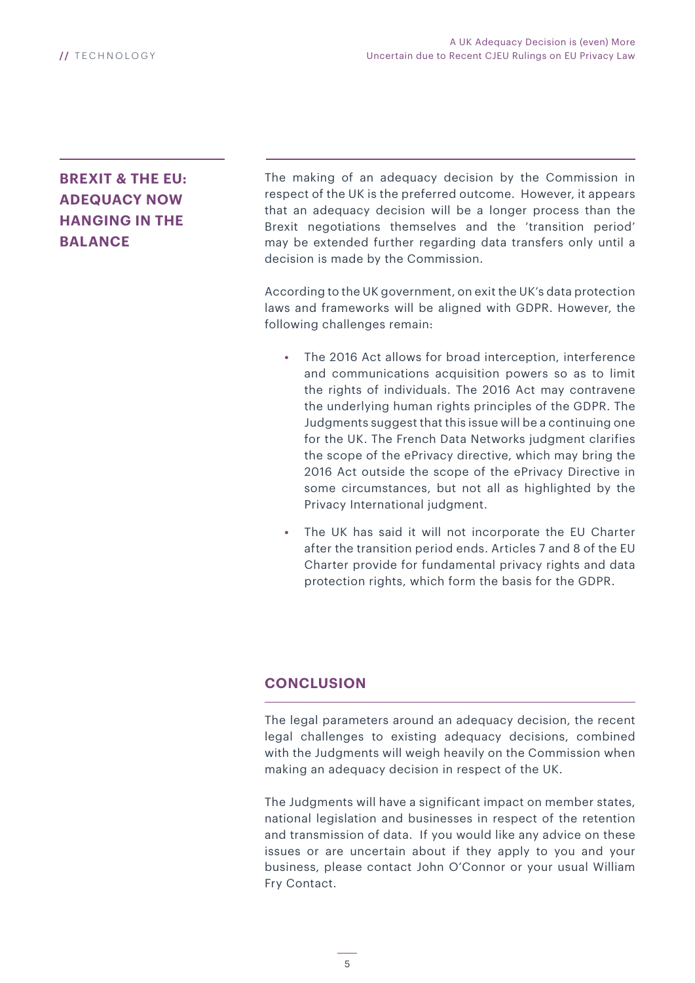### **BREXIT & THE EU: ADEQUACY NOW HANGING IN THE BALANCE**

The making of an adequacy decision by the Commission in respect of the UK is the preferred outcome. However, it appears that an adequacy decision will be a longer process than the Brexit negotiations themselves and the 'transition period' may be extended further regarding data transfers only until a decision is made by the Commission.

According to the UK government, on exit the UK's data protection laws and frameworks will be aligned with GDPR. However, the following challenges remain:

- **•** The 2016 Act allows for broad interception, interference and communications acquisition powers so as to limit the rights of individuals. The 2016 Act may contravene the underlying human rights principles of the GDPR. The Judgments suggest that this issue will be a continuing one for the UK. The French Data Networks judgment clarifies the scope of the ePrivacy directive, which may bring the 2016 Act outside the scope of the ePrivacy Directive in some circumstances, but not all as highlighted by the Privacy International judgment.
- **•** The UK has said it will not incorporate the EU Charter after the transition period ends. Articles 7 and 8 of the EU Charter provide for fundamental privacy rights and data protection rights, which form the basis for the GDPR.

#### **CONCLUSION**

The legal parameters around an adequacy decision, the recent legal challenges to existing adequacy decisions, combined with the Judgments will weigh heavily on the Commission when making an adequacy decision in respect of the UK.

The Judgments will have a significant impact on member states, national legislation and businesses in respect of the retention and transmission of data. If you would like any advice on these issues or are uncertain about if they apply to you and your business, please contact John O'Connor or your usual William Fry Contact.

5